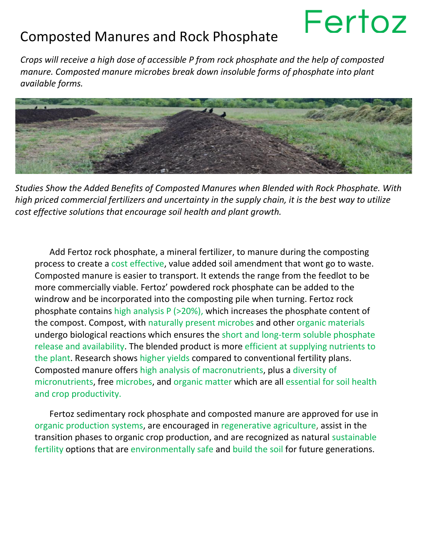## Fertoz

## Composted Manures and Rock Phosphate

*Crops will receive a high dose of accessible P from rock phosphate and the help of composted manure. Composted manure microbes break down insoluble forms of phosphate into plant available forms.*



*Studies Show the Added Benefits of Composted Manures when Blended with Rock Phosphate. With high priced commercial fertilizers and uncertainty in the supply chain, it is the best way to utilize cost effective solutions that encourage soil health and plant growth.*

Add Fertoz rock phosphate, a mineral fertilizer, to manure during the composting process to create a cost effective, value added soil amendment that wont go to waste. Composted manure is easier to transport. It extends the range from the feedlot to be more commercially viable. Fertoz' powdered rock phosphate can be added to the windrow and be incorporated into the composting pile when turning. Fertoz rock phosphate contains high analysis P (>20%), which increases the phosphate content of the compost. Compost, with naturally present microbes and other organic materials undergo biological reactions which ensures the short and long-term soluble phosphate release and availability. The blended product is more efficient at supplying nutrients to the plant. Research shows higher yields compared to conventional fertility plans. Composted manure offers high analysis of macronutrients, plus a diversity of micronutrients, free microbes, and organic matter which are all essential for soil health and crop productivity.

Fertoz sedimentary rock phosphate and composted manure are approved for use in organic production systems, are encouraged in regenerative agriculture, assist in the transition phases to organic crop production, and are recognized as natural sustainable fertility options that are environmentally safe and build the soil for future generations.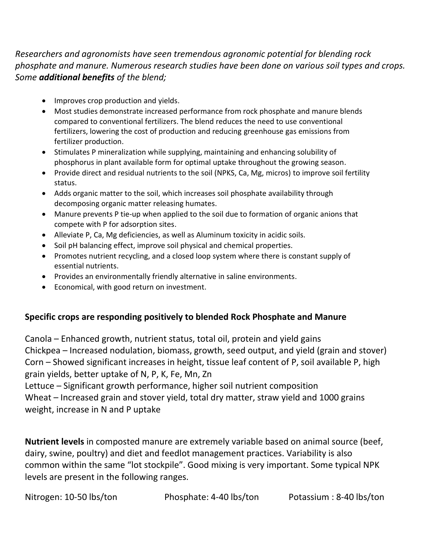*Researchers and agronomists have seen tremendous agronomic potential for blending rock phosphate and manure. Numerous research studies have been done on various soil types and crops. Some additional benefits of the blend;*

- Improves crop production and yields.
- Most studies demonstrate increased performance from rock phosphate and manure blends compared to conventional fertilizers. The blend reduces the need to use conventional fertilizers, lowering the cost of production and reducing greenhouse gas emissions from fertilizer production.
- Stimulates P mineralization while supplying, maintaining and enhancing solubility of phosphorus in plant available form for optimal uptake throughout the growing season.
- Provide direct and residual nutrients to the soil (NPKS, Ca, Mg, micros) to improve soil fertility status.
- Adds organic matter to the soil, which increases soil phosphate availability through decomposing organic matter releasing humates.
- Manure prevents P tie-up when applied to the soil due to formation of organic anions that compete with P for adsorption sites.
- Alleviate P, Ca, Mg deficiencies, as well as Aluminum toxicity in acidic soils.
- Soil pH balancing effect, improve soil physical and chemical properties.
- Promotes nutrient recycling, and a closed loop system where there is constant supply of essential nutrients.
- Provides an environmentally friendly alternative in saline environments.
- Economical, with good return on investment.

## **Specific crops are responding positively to blended Rock Phosphate and Manure**

Canola – Enhanced growth, nutrient status, total oil, protein and yield gains Chickpea – Increased nodulation, biomass, growth, seed output, and yield (grain and stover) Corn – Showed significant increases in height, tissue leaf content of P, soil available P, high grain yields, better uptake of N, P, K, Fe, Mn, Zn

Lettuce – Significant growth performance, higher soil nutrient composition Wheat – Increased grain and stover yield, total dry matter, straw yield and 1000 grains weight, increase in N and P uptake

**Nutrient levels** in composted manure are extremely variable based on animal source (beef, dairy, swine, poultry) and diet and feedlot management practices. Variability is also common within the same "lot stockpile". Good mixing is very important. Some typical NPK levels are present in the following ranges.

Nitrogen: 10-50 lbs/ton Phosphate: 4-40 lbs/ton Potassium : 8-40 lbs/ton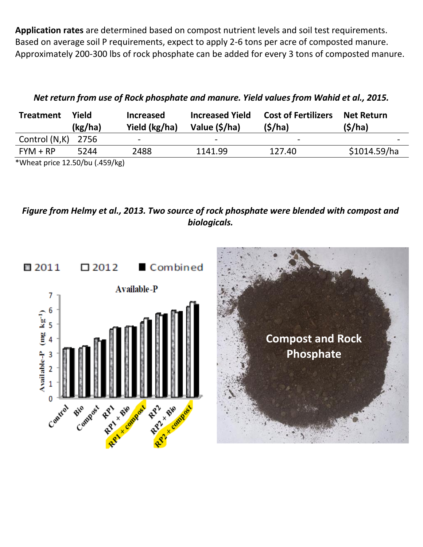**Application rates** are determined based on compost nutrient levels and soil test requirements. Based on average soil P requirements, expect to apply 2-6 tons per acre of composted manure. Approximately 200-300 lbs of rock phosphate can be added for every 3 tons of composted manure.

| <b>Treatment</b>     | Yield<br>(kg/ha) | <b>Increased</b><br>Yield (kg/ha) | <b>Increased Yield</b><br>Value (\$/ha) | <b>Cost of Fertilizers</b><br>(S/ha) | <b>Net Return</b><br>(S/ha) |
|----------------------|------------------|-----------------------------------|-----------------------------------------|--------------------------------------|-----------------------------|
| Control $(N,K)$ 2756 |                  | -                                 | $\overline{\phantom{0}}$                | $\overline{\phantom{0}}$             | $\,$                        |
| $FYM + RP$           | 5244             | 2488                              | 1141.99                                 | 127.40                               | \$1014.59/ha                |

*Net return from use of Rock phosphate and manure. Yield values from Wahid et al., 2015.*

\*Wheat price 12.50/bu (.459/kg)

*Figure from Helmy et al., 2013. Two source of rock phosphate were blended with compost and biologicals.*



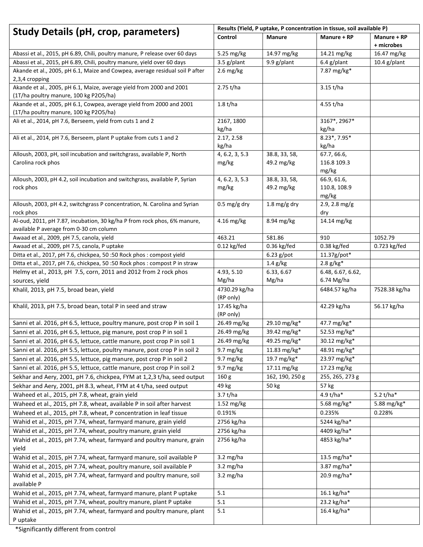| <b>Study Details (pH, crop, parameters)</b>                                                                     | Results (Yield, P uptake, P concentration in tissue, soil available P) |                 |                        |                           |
|-----------------------------------------------------------------------------------------------------------------|------------------------------------------------------------------------|-----------------|------------------------|---------------------------|
|                                                                                                                 | Control                                                                | <b>Manure</b>   | Manure + RP            | Manure + RP<br>+ microbes |
| Abassi et al., 2015, pH 6.89, Chili, poultry manure, P release over 60 days                                     | 5.25 mg/kg                                                             | 14.97 mg/kg     | 14.21 mg/kg            | 16.47 mg/kg               |
| Abassi et al., 2015, pH 6.89, Chili, poultry manure, yield over 60 days                                         | 3.5 g/plant                                                            | 9.9 g/plant     | $6.4$ g/plant          | $10.4$ g/plant            |
| Akande et al., 2005, pH 6.1, Maize and Cowpea, average residual soil P after<br>2,3,4 cropping                  | $2.6$ mg/kg                                                            |                 | 7.87 mg/kg*            |                           |
| Akande et al., 2005, pH 6.1, Maize, average yield from 2000 and 2001<br>(1T/ha poultry manure, 100 kg P2O5/ha)  | 2.75 t/ha                                                              |                 | $3.15$ t/ha            |                           |
| Akande et al., 2005, pH 6.1, Cowpea, average yield from 2000 and 2001<br>(1T/ha poultry manure, 100 kg P2O5/ha) | 1.8 t/ha                                                               |                 | 4.55 t/ha              |                           |
| Ali et al., 2014, pH 7.6, Berseem, yield from cuts 1 and 2                                                      | 2167, 1800                                                             |                 | 3167*, 2967*           |                           |
|                                                                                                                 | kg/ha                                                                  |                 | kg/ha                  |                           |
| Ali et al., 2014, pH 7.6, Berseem, plant P uptake from cuts 1 and 2                                             | 2.17, 2.58                                                             |                 | 8.23*, 7.95*           |                           |
|                                                                                                                 | kg/ha                                                                  |                 | kg/ha                  |                           |
| Alloush, 2003, pH, soil incubation and switchgrass, available P, North                                          | 4, 6.2, 3, 5.3                                                         | 38.8, 33, 58,   | 67.7, 66.6,            |                           |
| Carolina rock phos                                                                                              | mg/kg                                                                  | 49.2 mg/kg      | 116.8 109.3<br>mg/kg   |                           |
| Alloush, 2003, pH 4.2, soil incubation and switchgrass, available P, Syrian                                     | 4, 6.2, 3, 5.3                                                         | 38.8, 33, 58,   | 66.9, 61.6,            |                           |
| rock phos                                                                                                       | mg/kg                                                                  | 49.2 mg/kg      | 110.8, 108.9           |                           |
|                                                                                                                 |                                                                        |                 | mg/kg                  |                           |
| Alloush, 2003, pH 4.2, switchgrass P concentration, N. Carolina and Syrian<br>rock phos                         | $0.5 \,\mathrm{mg/g}$ dry                                              | 1.8 mg/g dry    | $2.9, 2.8$ mg/g<br>dry |                           |
| Al-oud, 2011, pH 7.87, incubation, 30 kg/ha P from rock phos, 6% manure,                                        | $4.16$ mg/kg                                                           | 8.94 mg/kg      | 14.14 mg/kg            |                           |
| available P average from 0-30 cm column                                                                         |                                                                        |                 |                        |                           |
| Awaad et al., 2009, pH 7.5, canola, yield                                                                       | 463.21                                                                 | 581.86          | 910                    | 1052.79                   |
| Awaad et al., 2009, pH 7.5, canola, P uptake                                                                    | $0.12$ kg/fed                                                          | 0.36 kg/fed     | $0.38$ kg/fed          | 0.723 kg/fed              |
| Ditta et al., 2017, pH 7.6, chickpea, 50 :50 Rock phos : compost yield                                          |                                                                        | $6.23$ g/pot    | 11.37g/pot*            |                           |
| Ditta et al., 2017, pH 7.6, chickpea, 50 :50 Rock phos : compost P in straw                                     |                                                                        | $1.4$ g/kg      | $2.8 g/kg*$            |                           |
| Helmy et al., 2013, pH 7.5, corn, 2011 and 2012 from 2 rock phos                                                | 4.93, 5.10                                                             | 6.33, 6.67      | 6.48, 6.67, 6.62,      |                           |
| sources, yield                                                                                                  | Mg/ha                                                                  | Mg/ha           | 6.74 Mg/ha             |                           |
| Khalil, 2013, pH 7.5, broad bean, yield                                                                         | 4730.29 kg/ha<br>(RP only)                                             |                 | 6484.57 kg/ha          | 7528.38 kg/ha             |
| Khalil, 2013, pH 7.5, broad bean, total P in seed and straw                                                     | 17.45 kg/ha<br>(RP only)                                               |                 | 42.29 kg/ha            | 56.17 kg/ha               |
| Sanni et al. 2016, pH 6.5, lettuce, poultry manure, post crop P in soil 1                                       | 26.49 mg/kg                                                            | 29.10 mg/kg*    | 47.7 mg/kg*            |                           |
| Sanni et al. 2016, pH 6.5, lettuce, pig manure, post crop P in soil 1                                           | 26.49 mg/kg                                                            | 39.42 mg/kg*    | 52.53 mg/kg*           |                           |
| Sanni et al. 2016, pH 6.5, lettuce, cattle manure, post crop P in soil 1                                        | 26.49 mg/kg                                                            | 49.25 mg/kg*    | 30.12 mg/kg*           |                           |
| Sanni et al. 2016, pH 5.5, lettuce, poultry manure, post crop P in soil 2                                       | 9.7 mg/kg                                                              | 11.83 mg/kg*    | 48.91 mg/kg*           |                           |
| Sanni et al. 2016, pH 5.5, lettuce, pig manure, post crop P in soil 2                                           | 9.7 mg/kg                                                              | 19.7 mg/kg*     | 23.97 mg/kg*           |                           |
| Sanni et al. 2016, pH 5.5, lettuce, cattle manure, post crop P in soil 2                                        | $9.7 \text{ mg/kg}$                                                    | 17.11 mg/kg     | 17.23 mg/kg            |                           |
| Sekhar and Aery, 2001, pH 7.6, chickpea, FYM at 1,2,3 t/ha, seed output                                         | 160 g                                                                  | 162, 190, 250 g | 255, 265, 273 g        |                           |
| Sekhar and Aery, 2001, pH 8.3, wheat, FYM at 4 t/ha, seed output                                                | 49 kg                                                                  | 50 kg           | 57 kg                  |                           |
| Waheed et al., 2015, pH 7.8, wheat, grain yield                                                                 | 3.7t/ha                                                                |                 | 4.9 t/ha*              | 5.2 t/ha*                 |
| Waheed et al., 2015, pH 7.8, wheat, available P in soil after harvest                                           | $1.52$ mg/kg                                                           |                 | 5.68 mg/kg*            | 5.88 mg/kg*               |
| Waheed et al., 2015, pH 7.8, wheat, P concentration in leaf tissue                                              | 0.191%                                                                 |                 | 0.235%                 | 0.228%                    |
| Wahid et al., 2015, pH 7.74, wheat, farmyard manure, grain yield                                                | 2756 kg/ha                                                             |                 | 5244 kg/ha*            |                           |
| Wahid et al., 2015, pH 7.74, wheat, poultry manure, grain yield                                                 | 2756 kg/ha                                                             |                 | 4409 kg/ha*            |                           |
| Wahid et al., 2015, pH 7.74, wheat, farmyard and poultry manure, grain                                          | 2756 kg/ha                                                             |                 | 4853 kg/ha*            |                           |
| yield                                                                                                           |                                                                        |                 |                        |                           |
| Wahid et al., 2015, pH 7.74, wheat, farmyard manure, soil available P                                           | $3.2$ mg/ha                                                            |                 | 13.5 mg/ha*            |                           |
| Wahid et al., 2015, pH 7.74, wheat, poultry manure, soil available P                                            | $3.2 \text{ mg/ha}$                                                    |                 | 3.87 mg/ha*            |                           |
| Wahid et al., 2015, pH 7.74, wheat, farmyard and poultry manure, soil<br>available P                            | $3.2 \text{ mg/ha}$                                                    |                 | 20.9 mg/ha*            |                           |
| Wahid et al., 2015, pH 7.74, wheat, farmyard manure, plant P uptake                                             | 5.1                                                                    |                 | 16.1 kg/ha*            |                           |
| Wahid et al., 2015, pH 7.74, wheat, poultry manure, plant P uptake                                              | 5.1                                                                    |                 | 23.2 kg/ha*            |                           |
| Wahid et al., 2015, pH 7.74, wheat, farmyard and poultry manure, plant                                          | 5.1                                                                    |                 | 16.4 kg/ha*            |                           |
| P uptake                                                                                                        |                                                                        |                 |                        |                           |

\*Significantly different from control